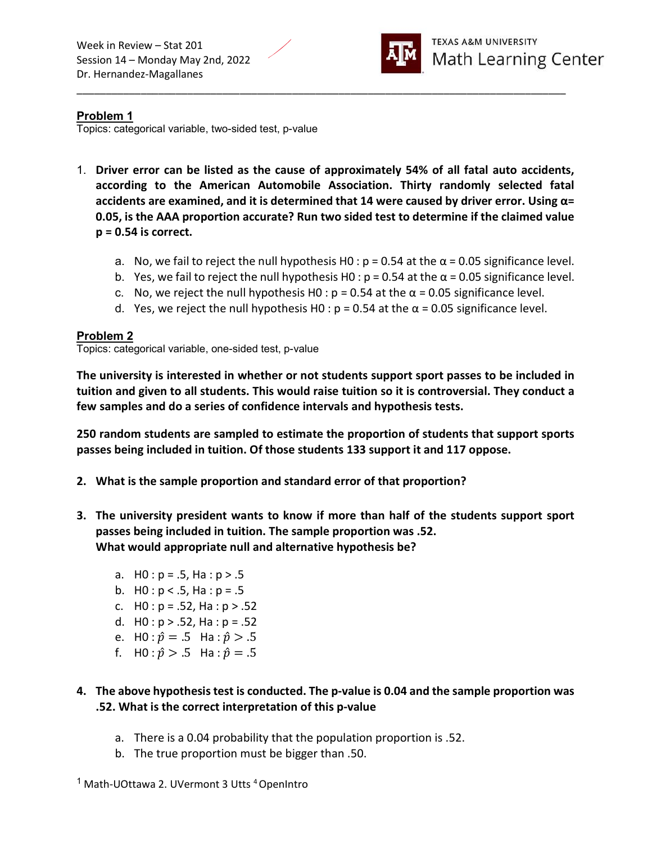

## Problem 1

Topics: categorical variable, two-sided test, p-value

1. Driver error can be listed as the cause of approximately 54% of all fatal auto accidents, according to the American Automobile Association. Thirty randomly selected fatal accidents are examined, and it is determined that 14 were caused by driver error. Using  $\alpha$ = 0.05, is the AAA proportion accurate? Run two sided test to determine if the claimed value  $p = 0.54$  is correct.

\_\_\_\_\_\_\_\_\_\_\_\_\_\_\_\_\_\_\_\_\_\_\_\_\_\_\_\_\_\_\_\_\_\_\_\_\_\_\_\_\_\_\_\_\_\_\_\_\_\_\_\_\_\_\_\_\_\_\_\_\_\_\_\_\_\_\_\_\_\_\_\_\_\_\_\_\_\_\_\_\_\_\_\_

- a. No, we fail to reject the null hypothesis H0 :  $p = 0.54$  at the  $\alpha = 0.05$  significance level.
- b. Yes, we fail to reject the null hypothesis H0 :  $p = 0.54$  at the  $\alpha = 0.05$  significance level.
- c. No, we reject the null hypothesis H0 :  $p = 0.54$  at the  $\alpha = 0.05$  significance level.
- d. Yes, we reject the null hypothesis H0 :  $p = 0.54$  at the  $\alpha = 0.05$  significance level.

#### Problem 2

Topics: categorical variable, one-sided test, p-value

The university is interested in whether or not students support sport passes to be included in tuition and given to all students. This would raise tuition so it is controversial. They conduct a few samples and do a series of confidence intervals and hypothesis tests.

250 random students are sampled to estimate the proportion of students that support sports passes being included in tuition. Of those students 133 support it and 117 oppose.

- 2. What is the sample proportion and standard error of that proportion?
- 3. The university president wants to know if more than half of the students support sport passes being included in tuition. The sample proportion was .52. What would appropriate null and alternative hypothesis be?
	- a.  $H0 : p = .5$ , Ha :  $p > .5$
	- b.  $H0: p < .5$ , Ha :  $p = .5$
	- c.  $H0 : p = .52$ , Ha :  $p > .52$
	- d.  $H0: p > .52$ , Ha :  $p = .52$
	- e. H0 :  $\hat{p} = .5$  Ha :  $\hat{p} > .5$
	- f. H0 :  $\hat{p} > .5$  Ha :  $\hat{p} = .5$
- 4. The above hypothesis test is conducted. The p-value is 0.04 and the sample proportion was .52. What is the correct interpretation of this p-value
	- a. There is a 0.04 probability that the population proportion is .52.
	- b. The true proportion must be bigger than .50.
- <sup>1</sup> Math-UOttawa 2. UVermont 3 Utts <sup>4</sup> OpenIntro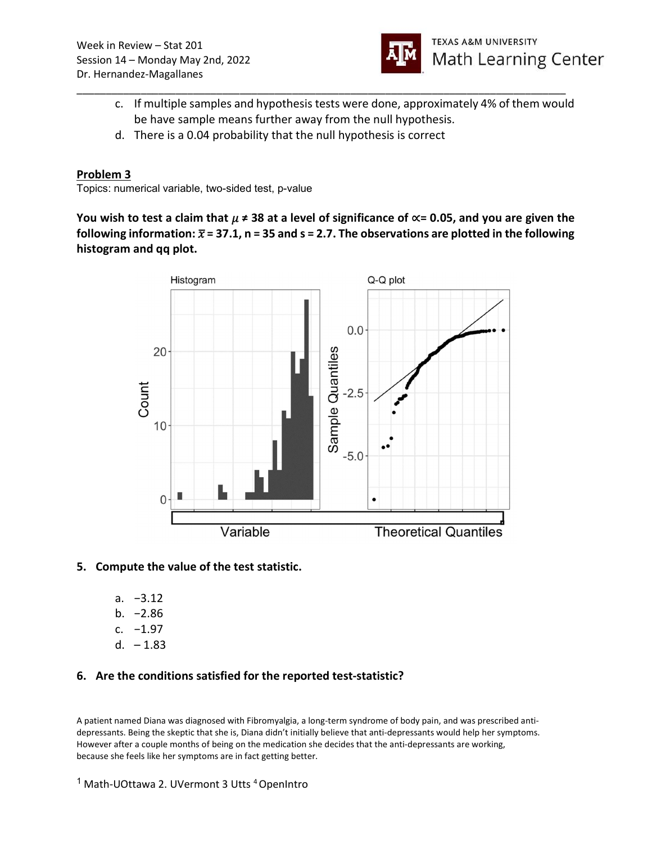

c. If multiple samples and hypothesis tests were done, approximately 4% of them would be have sample means further away from the null hypothesis.

\_\_\_\_\_\_\_\_\_\_\_\_\_\_\_\_\_\_\_\_\_\_\_\_\_\_\_\_\_\_\_\_\_\_\_\_\_\_\_\_\_\_\_\_\_\_\_\_\_\_\_\_\_\_\_\_\_\_\_\_\_\_\_\_\_\_\_\_\_\_\_\_\_\_\_\_\_\_\_\_\_\_\_\_

d. There is a 0.04 probability that the null hypothesis is correct

### Problem 3

Topics: numerical variable, two-sided test, p-value

You wish to test a claim that  $\mu \neq 38$  at a level of significance of  $\propto$  = 0.05, and you are given the following information:  $\bar{x}$  = 37.1, n = 35 and s = 2.7. The observations are plotted in the following histogram and qq plot.



#### 5. Compute the value of the test statistic.

- a. −3.12
- b. −2.86
- c. −1.97
- d.  $-1.83$

# 6. Are the conditions satisfied for the reported test-statistic?

A patient named Diana was diagnosed with Fibromyalgia, a long-term syndrome of body pain, and was prescribed antidepressants. Being the skeptic that she is, Diana didn't initially believe that anti-depressants would help her symptoms. However after a couple months of being on the medication she decides that the anti-depressants are working, because she feels like her symptoms are in fact getting better.

<sup>&</sup>lt;sup>1</sup> Math-UOttawa 2. UVermont 3 Utts <sup>4</sup> OpenIntro